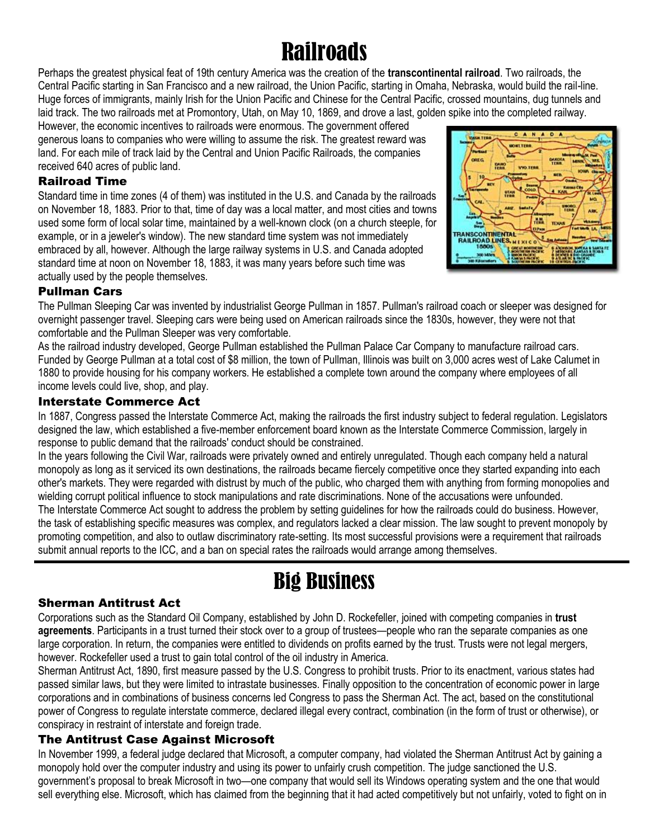# **Railroads**

Perhaps the greatest physical feat of 19th century America was the creation of the **transcontinental railroad**. Two railroads, the Central Pacific starting in San Francisco and a new railroad, the Union Pacific, starting in Omaha, Nebraska, would build the rail-line. Huge forces of immigrants, mainly Irish for the Union Pacific and Chinese for the Central Pacific, crossed mountains, dug tunnels and laid track. The two railroads met at Promontory, Utah, on May 10, 1869, and drove a last, golden spike into the completed railway.

However, the economic incentives to railroads were enormous. The government offered generous loans to companies who were willing to assume the risk. The greatest reward was land. For each mile of track laid by the Central and Union Pacific Railroads, the companies received 640 acres of public land.

## Railroad Time

Standard time in time zones (4 of them) was instituted in the U.S. and Canada by the railroads on November 18, 1883. Prior to that, time of day was a local matter, and most cities and towns used some form of local solar time, maintained by a well-known clock (on a church steeple, for example, or in a jeweler's window). The new standard time system was not immediately embraced by all, however. Although the large railway systems in U.S. and Canada adopted standard time at noon on November 18, 1883, it was many years before such time was actually used by the people themselves.



## Pullman Cars

The Pullman Sleeping Car was invented by industrialist George Pullman in 1857. Pullman's railroad coach or sleeper was designed for overnight passenger travel. Sleeping cars were being used on American railroads since the 1830s, however, they were not that comfortable and the Pullman Sleeper was very comfortable.

As the railroad industry developed, George Pullman established the Pullman Palace Car Company to manufacture railroad cars. Funded by George Pullman at a total cost of \$8 million, the town of Pullman, Illinois was built on 3,000 acres west of Lake Calumet in 1880 to provide housing for his company workers. He established a complete town around the company where employees of all income levels could live, shop, and play.

## Interstate Commerce Act

In 1887, Congress passed the Interstate Commerce Act, making the railroads the first industry subject to federal regulation. Legislators designed the law, which established a five-member enforcement board known as the Interstate Commerce Commission, largely in response to public demand that the railroads' conduct should be constrained.

In the years following the Civil War, railroads were privately owned and entirely unregulated. Though each company held a natural monopoly as long as it serviced its own destinations, the railroads became fiercely competitive once they started expanding into each other's markets. They were regarded with distrust by much of the public, who charged them with anything from forming monopolies and wielding corrupt political influence to stock manipulations and rate discriminations. None of the accusations were unfounded. The Interstate Commerce Act sought to address the problem by setting guidelines for how the railroads could do business. However, the task of establishing specific measures was complex, and regulators lacked a clear mission. The law sought to prevent monopoly by promoting competition, and also to outlaw discriminatory rate-setting. Its most successful provisions were a requirement that railroads submit annual reports to the ICC, and a ban on special rates the railroads would arrange among themselves.

## Big Business

## Sherman Antitrust Act

Corporations such as the Standard Oil Company, established by John D. Rockefeller, joined with competing companies in **trust agreements**. Participants in a trust turned their stock over to a group of trustees—people who ran the separate companies as one large corporation. In return, the companies were entitled to dividends on profits earned by the trust. Trusts were not legal mergers, however. Rockefeller used a trust to gain total control of the oil industry in America.

Sherman Antitrust Act, 1890, first measure passed by the U.S. Congress to prohibit trusts. Prior to its enactment, various states had passed similar laws, but they were limited to intrastate businesses. Finally opposition to the concentration of economic power in large corporations and in combinations of business concerns led Congress to pass the Sherman Act. The act, based on the constitutional power of Congress to regulate interstate commerce, declared illegal every contract, combination (in the form of trust or otherwise), or conspiracy in restraint of interstate and foreign trade.

## The Antitrust Case Against Microsoft

In November 1999, a federal judge declared that Microsoft, a computer company, had violated the Sherman Antitrust Act by gaining a monopoly hold over the computer industry and using its power to unfairly crush competition. The judge sanctioned the U.S. government's proposal to break Microsoft in two—one company that would sell its Windows operating system and the one that would sell everything else. Microsoft, which has claimed from the beginning that it had acted competitively but not unfairly, voted to fight on in